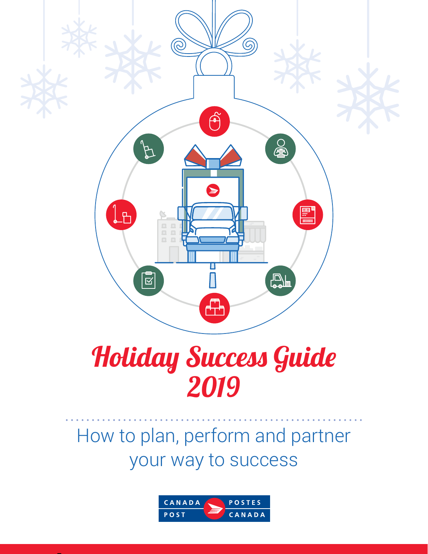

# Holiday Success Guide 2019

### How to plan, perform and partner your way to success

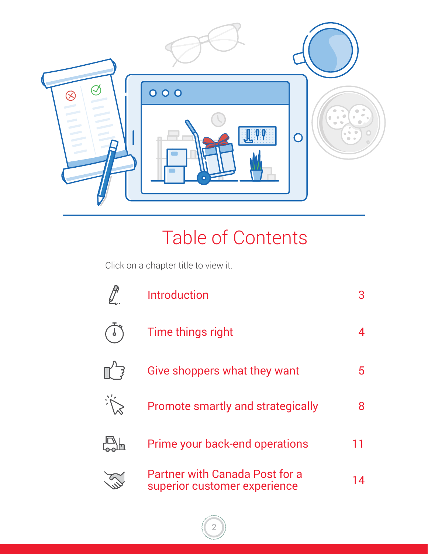

### Table of Contents

Click on a chapter title to view it.

| <b>Introduction</b>                                                   |    |
|-----------------------------------------------------------------------|----|
| Time things right                                                     |    |
| Give shoppers what they want                                          | 5. |
| <b>Promote smartly and strategically</b>                              | 8  |
| Prime your back-end operations                                        | 11 |
| <b>Partner with Canada Post for a</b><br>superior customer experience | 14 |

2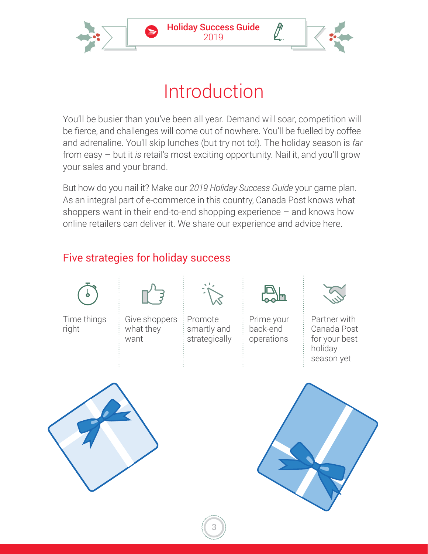<span id="page-2-0"></span>

### Introduction

You'll be busier than you've been all year. Demand will soar, competition will be fierce, and challenges will come out of nowhere. You'll be fuelled by coffee and adrenaline. You'll skip lunches (but try not to!). The holiday season is *far*  from easy – but it *is* retail's most exciting opportunity. Nail it, and you'll grow your sales and your brand.

But how do you nail it? Make our *2019 Holiday Success Guide* your game plan. As an integral part of e-commerce in this country, Canada Post knows what shoppers want in their end-to-end shopping experience  $-$  and knows how online retailers can deliver it. We share our experience and advice here.

#### Five strategies for holiday success

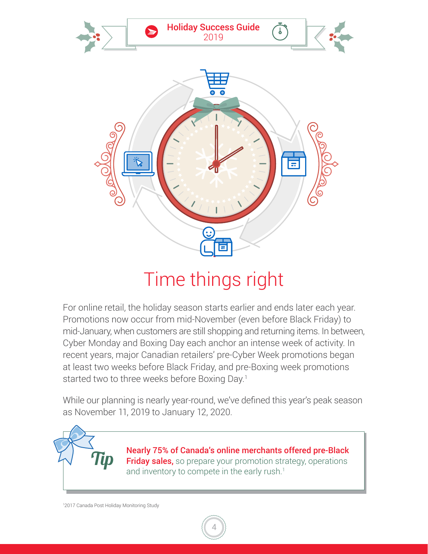<span id="page-3-0"></span>

### Time things right

For online retail, the holiday season starts earlier and ends later each year. Promotions now occur from mid-November (even before Black Friday) to mid-January, when customers are still shopping and returning items. In between, Cyber Monday and Boxing Day each anchor an intense week of activity. In recent years, major Canadian retailers' pre-Cyber Week promotions began at least two weeks before Black Friday, and pre-Boxing week promotions started two to three weeks before Boxing Day.<sup>1</sup>

While our planning is nearly year-round, we've defined this year's peak season as November 11, 2019 to January 12, 2020.

4

Nearly 75% of Canada's online merchants offered pre-Black  $\pi$  Friday sales, so prepare your promotion strategy, operations and inventory to compete in the early rush  $\frac{1}{2}$ and inventory to compete in the early rush.<sup>1</sup>

1 2017 Canada Post Holiday Monitoring Study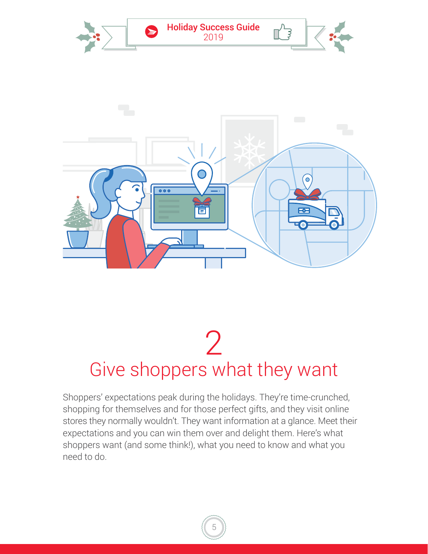<span id="page-4-0"></span>

## Give shoppers what they want 2

Shoppers' expectations peak during the holidays. They're time-crunched, shopping for themselves and for those perfect gifts, and they visit online stores they normally wouldn't. They want information at a glance. Meet their expectations and you can win them over and delight them. Here's what shoppers want (and some think!), what you need to know and what you need to do.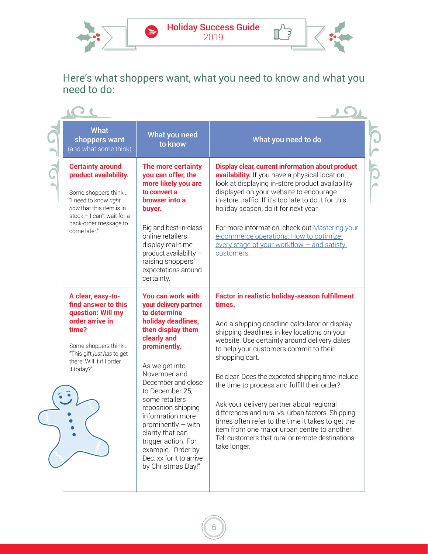Holiday Success Guide 2019

 $\bullet$ 



CLI

TOL

 $\mathbb{L}^3$ 

Here's what shoppers want, what you need to know and what you need to do:

| <b>What</b><br>shoppers want<br>(and what some think)                                                                                                                                               | What you need<br>to know                                                                                                                                                                                                                                                                                                                                                                                                | What you need to do                                                                                                                                                                                                                                                                                                                                                                                                                                                                                                                                                                                                                                 |
|-----------------------------------------------------------------------------------------------------------------------------------------------------------------------------------------------------|-------------------------------------------------------------------------------------------------------------------------------------------------------------------------------------------------------------------------------------------------------------------------------------------------------------------------------------------------------------------------------------------------------------------------|-----------------------------------------------------------------------------------------------------------------------------------------------------------------------------------------------------------------------------------------------------------------------------------------------------------------------------------------------------------------------------------------------------------------------------------------------------------------------------------------------------------------------------------------------------------------------------------------------------------------------------------------------------|
| <b>Certainty around</b><br>product availability.<br>Some shoppers think<br>"I need to know right<br>now that this item is in<br>stock - I can't wait for a<br>back-order message to<br>come later." | The more certainty<br>you can offer, the<br>more likely you are<br>to convert a<br>browser into a<br>buyer.<br>Big and best-in-class<br>online retailers<br>display real-time<br>product availability -<br>raising shoppers'<br>expectations around<br>certainty.                                                                                                                                                       | Display clear, current information about product<br>availability. If you have a physical location,<br>look at displaying in-store product availability<br>displayed on your website to encourage<br>in-store traffic. If it's too late to do it for this<br>holiday season, do it for next year.<br>For more information, check out Mastering your<br>e-commerce operations: How to optimize<br>every stage of your workflow - and satisfy<br>customers.                                                                                                                                                                                            |
| A clear, easy-to-<br>find answer to this<br>question: Will my<br>order arrive in<br>time?<br>Some shoppers think<br>"This gift just has to get<br>there! Will it if I order<br>it today?"           | You can work with<br>your delivery partner<br>to determine<br>holiday deadlines,<br>then display them<br>clearly and<br>prominently.<br>As we get into<br>November and<br>December and close<br>to December 25,<br>some retailers<br>reposition shipping<br>information more<br>prominently $-$ with<br>clarity that can<br>trigger action. For<br>example, "Order by<br>Dec. xx for it to arrive<br>by Christmas Day!" | Factor in realistic holiday-season fulfillment<br>times.<br>Add a shipping deadline calculator or display<br>shipping deadlines in key locations on your<br>website. Use certainty around delivery dates<br>to help your customers commit to their<br>shopping cart.<br>Be clear. Does the expected shipping time include<br>the time to process and fulfill their order?<br>Ask your delivery partner about regional<br>differences and rural vs. urban factors. Shipping<br>times often refer to the time it takes to get the<br>item from one major urban centre to another.<br>Tell customers that rural or remote destinations<br>take longer. |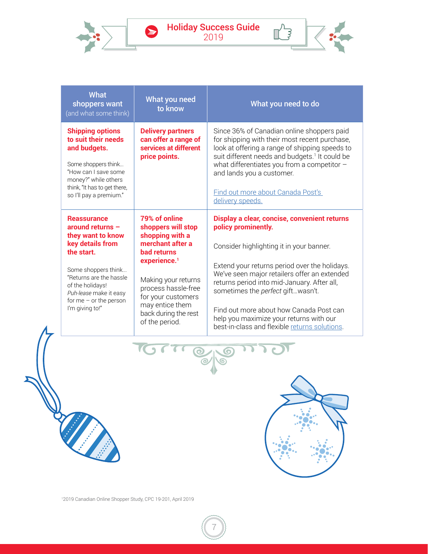Holiday Success Guide 2019

 $\bullet$ 



 $\mathbb{T}^3$ 

| <b>What</b><br>shoppers want<br>(and what some think)                                                                                                                                                                                          | What you need<br>to know                                                                                                                                                                                                                                      | What you need to do                                                                                                                                                                                                                                                                                                                                                                                                                         |
|------------------------------------------------------------------------------------------------------------------------------------------------------------------------------------------------------------------------------------------------|---------------------------------------------------------------------------------------------------------------------------------------------------------------------------------------------------------------------------------------------------------------|---------------------------------------------------------------------------------------------------------------------------------------------------------------------------------------------------------------------------------------------------------------------------------------------------------------------------------------------------------------------------------------------------------------------------------------------|
| <b>Shipping options</b><br>to suit their needs<br>and budgets.<br>Some shoppers think<br>"How can I save some<br>money?" while others<br>think, "It has to get there,<br>so I'll pay a premium."                                               | <b>Delivery partners</b><br>can offer a range of<br>services at different<br>price points.                                                                                                                                                                    | Since 36% of Canadian online shoppers paid<br>for shipping with their most recent purchase,<br>look at offering a range of shipping speeds to<br>suit different needs and budgets. <sup>1</sup> It could be<br>what differentiates you from a competitor -<br>and lands you a customer.<br>Find out more about Canada Post's<br>delivery speeds.                                                                                            |
| <b>Reassurance</b><br>around returns $-$<br>they want to know<br>key details from<br>the start.<br>Some shoppers think<br>"Returns are the hassle<br>of the holidays!<br>Puh-lease make it easy<br>for me $-$ or the person<br>I'm giving to!" | 79% of online<br>shoppers will stop<br>shopping with a<br>merchant after a<br><b>bad returns</b><br>experience. <sup>1</sup><br>Making your returns<br>process hassle-free<br>for your customers<br>may entice them<br>back during the rest<br>of the period. | Display a clear, concise, convenient returns<br>policy prominently.<br>Consider highlighting it in your banner.<br>Extend your returns period over the holidays.<br>We've seen major retailers offer an extended<br>returns period into mid-January. After all,<br>sometimes the perfect giftwasn't.<br>Find out more about how Canada Post can<br>help you maximize your returns with our<br>best-in-class and flexible returns solutions. |



7



1 2019 Canadian Online Shopper Study, CPC 19-201, April 2019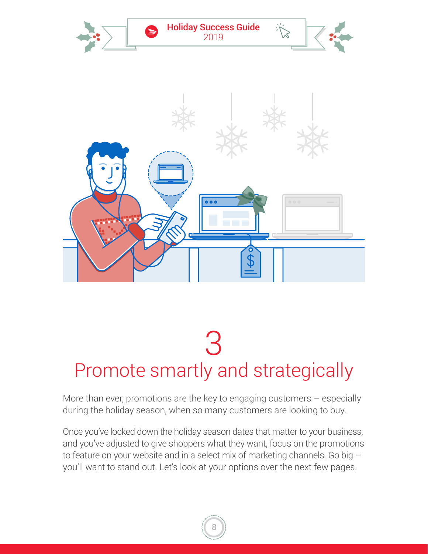<span id="page-7-0"></span>

## Promote smartly and strategically 3

More than ever, promotions are the key to engaging customers – especially during the holiday season, when so many customers are looking to buy.

Once you've locked down the holiday season dates that matter to your business, and you've adjusted to give shoppers what they want, focus on the promotions to feature on your website and in a select mix of marketing channels. Go big – you'll want to stand out. Let's look at your options over the next few pages.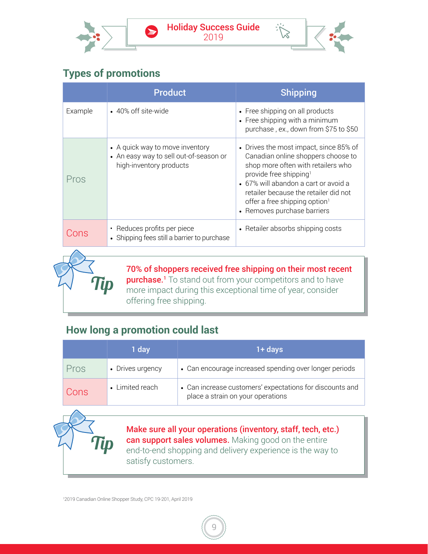



#### **Types of promotions**

 $\blacktriangleright$ 

|         | <b>Product</b>                                                                                       | <b>Shipping</b>                                                                                                                                                                                                                                                                                                       |
|---------|------------------------------------------------------------------------------------------------------|-----------------------------------------------------------------------------------------------------------------------------------------------------------------------------------------------------------------------------------------------------------------------------------------------------------------------|
| Example | • 40% off site-wide                                                                                  | • Free shipping on all products<br>• Free shipping with a minimum<br>purchase, ex., down from \$75 to \$50                                                                                                                                                                                                            |
| Pros    | • A quick way to move inventory<br>• An easy way to sell out-of-season or<br>high-inventory products | • Drives the most impact, since 85% of<br>Canadian online shoppers choose to<br>shop more often with retailers who<br>provide free shipping <sup>1</sup><br>• 67% will abandon a cart or avoid a<br>retailer because the retailer did not<br>offer a free shipping option <sup>1</sup><br>• Removes purchase barriers |
| Cons    | Reduces profits per piece<br>$\bullet$<br>• Shipping fees still a barrier to purchase                | • Retailer absorbs shipping costs                                                                                                                                                                                                                                                                                     |
|         |                                                                                                      |                                                                                                                                                                                                                                                                                                                       |

70% of shoppers received free shipping on their most recent purchase.<sup>1</sup> To stand out from your competitors and to have more impact during this exceptional time of year, consider offering free shipping.

#### **How long a promotion could last**

Tip

Tip

|      | 1 day            | $1 + days$                                                                                    |
|------|------------------|-----------------------------------------------------------------------------------------------|
| Pros | • Drives urgency | • Can encourage increased spending over longer periods                                        |
| Cons | • Limited reach  | • Can increase customers' expectations for discounts and<br>place a strain on your operations |

Make sure all your operations (inventory, staff, tech, etc.) can support sales volumes. Making good on the entire end-to-end shopping and delivery experience is the way to satisfy customers.

1 2019 Canadian Online Shopper Study, CPC 19-201, April 2019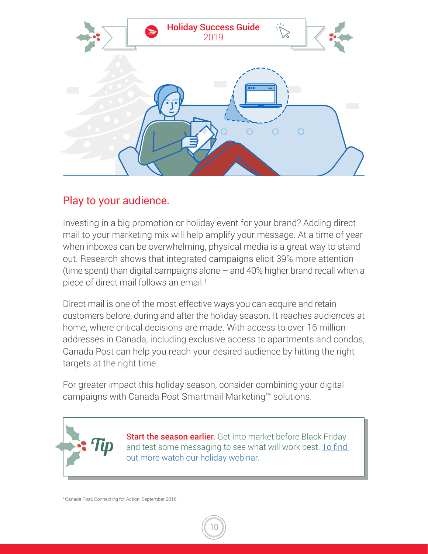

#### Play to your audience.

Investing in a big promotion or holiday event for your brand? Adding direct mail to your marketing mix will help amplify your message. At a time of year when inboxes can be overwhelming, physical media is a great way to stand out. Research shows that integrated campaigns elicit 39% more attention (time spent) than digital campaigns alone – and 40% higher brand recall when a piece of direct mail follows an email.<sup>1</sup>

Direct mail is one of the most effective ways you can acquire and retain customers before, during and after the holiday season. It reaches audiences at home, where critical decisions are made. With access to over 16 million addresses in Canada, including exclusive access to apartments and condos, Canada Post can help you reach your desired audience by hitting the right targets at the right time.

For greater impact this holiday season, consider combining your digital campaigns with Canada Post Smartmail Marketing™ solutions.



10

<sup>1</sup>Canada Post, Connecting for Action, September 2016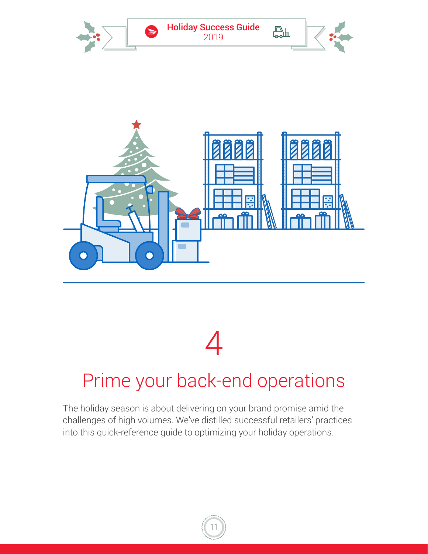<span id="page-10-0"></span>

# 4

### Prime your back-end operations

The holiday season is about delivering on your brand promise amid the challenges of high volumes. We've distilled successful retailers' practices into this quick-reference guide to optimizing your holiday operations.

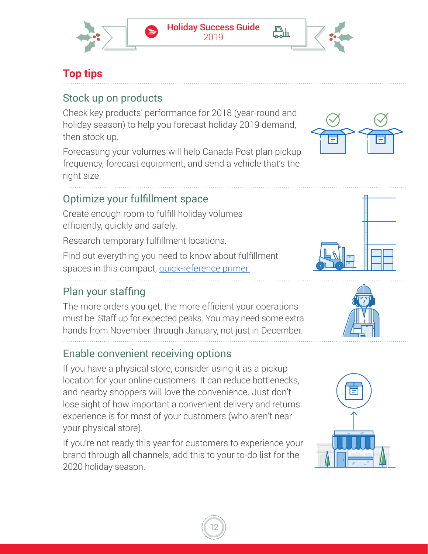

心上

#### **Top tips**

#### Stock up on products

Check key products' performance for 2018 (year-round and holiday season) to help you forecast holiday 2019 demand, then stock up.

Forecasting your volumes will help Canada Post plan pickup frequency, forecast equipment, and send a vehicle that's the right size.

#### Optimize your fulfillment space

Create enough room to fulfill holiday volumes efficiently, quickly and safely.

Research temporary fulfillment locations.

Find out everything you need to know about fulfillment spaces in this compact, [quick-reference primer.](https://bit.ly/2GwsGg3)

#### Plan your staffing

The more orders you get, the more efficient your operations must be. Staff up for expected peaks. You may need some extra hands from November through January, not just in December.

#### Enable convenient receiving options

If you have a physical store, consider using it as a pickup location for your online customers. It can reduce bottlenecks, and nearby shoppers will love the convenience. Just don't lose sight of how important a convenient delivery and returns experience is for most of your customers (who aren't near your physical store).

If you're not ready this year for customers to experience your brand through all channels, add this to your to-do list for the 2020 holiday season.









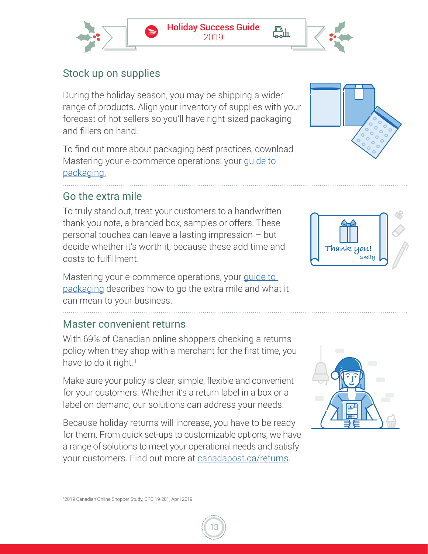

#### Stock up on supplies

During the holiday season, you may be shipping a wider range of products. Align your inventory of supplies with your forecast of hot sellers so you'll have right-sized packaging and fillers on hand.

To find out more about packaging best practices, download Mastering your e-commerce operations: your guide to [packaging.](https://bit.ly/2ZaLHw4)

#### Go the extra mile

To truly stand out, treat your customers to a handwritten thank you note, a branded box, samples or offers. These personal touches can leave a lasting impression – but decide whether it's worth it, because these add time and costs to fulfillment.

Mastering your e-commerce operations, your guide to [packaging d](https://bit.ly/2ZaLHw4)escribes how to go the extra mile and what it can mean to your business.

#### Master convenient returns

With 69% of Canadian online shoppers checking a returns policy when they shop with a merchant for the first time, you have to do it right.<sup>1</sup>

Make sure your policy is clear, simple, flexible and convenient for your customers. Whether it's a return label in a box or a label on demand, our solutions can address your needs.

Because holiday returns will increase, you have to be ready for them. From quick set-ups to customizable options, we have a range of solutions to meet your operational needs and satisfy your customers. Find out more a[t canadapost.ca/returns.](https://bit.ly/2JQ1fQH)







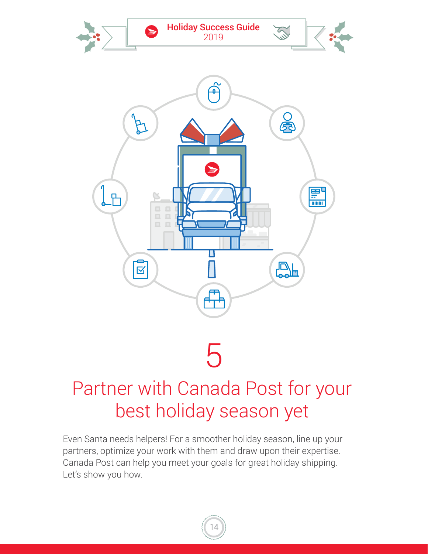<span id="page-13-0"></span>

### Partner with Canada Post for your best holiday season yet

Even Santa needs helpers! For a smoother holiday season, line up your partners, optimize your work with them and draw upon their expertise. Canada Post can help you meet your goals for great holiday shipping. Let's show you how.

14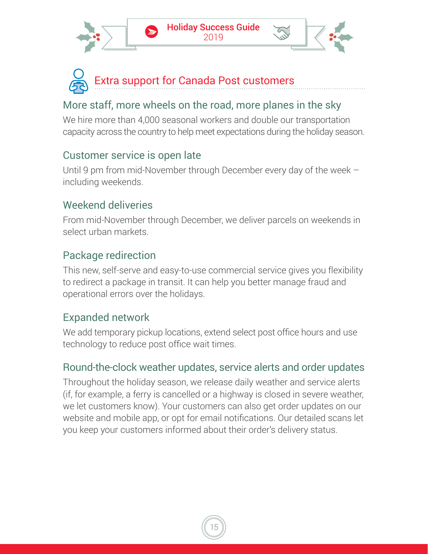



#### More staff, more wheels on the road, more planes in the sky

We hire more than 4,000 seasonal workers and double our transportation capacity across the country to help meet expectations during the holiday season.

#### Customer service is open late

Until 9 pm from mid-November through December every day of the week – including weekends.

#### Weekend deliveries

From mid-November through December, we deliver parcels on weekends in select urban markets.

#### Package redirection

This new, self-serve and easy-to-use commercial service gives you flexibility to redirect a package in transit. It can help you better manage fraud and operational errors over the holidays.

#### Expanded network

We add temporary pickup locations, extend select post office hours and use technology to reduce post office wait times.

#### Round-the-clock weather updates, service alerts and order updates

Throughout the holiday season, we release daily weather and service alerts (if, for example, a ferry is cancelled or a highway is closed in severe weather, we let customers know). Your customers can also get order updates on our website and mobile app, or opt for email notifications. Our detailed scans let you keep your customers informed about their order's delivery status.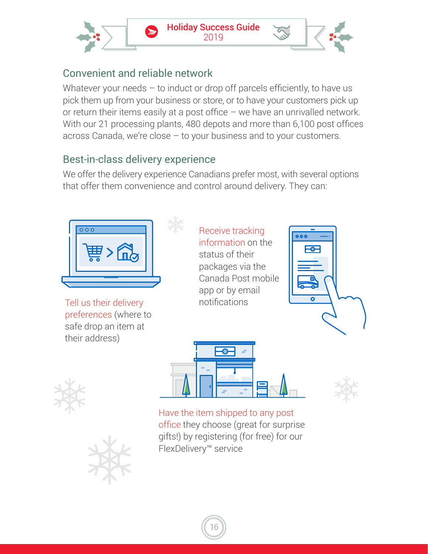

#### Convenient and reliable network

Whatever your needs  $-$  to induct or drop off parcels efficiently, to have us pick them up from your business or store, or to have your customers pick up or return their items easily at a post office – we have an unrivalled network. With our 21 processing plants, 480 depots and more than 6,100 post offices across Canada, we're close – to your business and to your customers.

#### Best-in-class delivery experience

We offer the delivery experience Canadians prefer most, with several options that offer them convenience and control around delivery. They can:



Tell us their delivery preferences (where to safe drop an item at their address)













Have the item shipped to any post office they choose (great for surprise gifts!) by registering (for free) for our FlexDelivery™ service

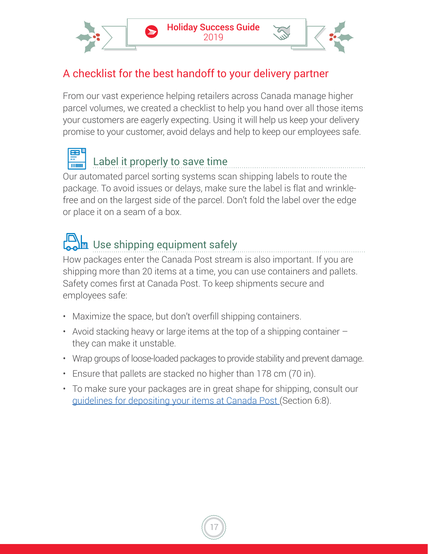

#### A checklist for the best handoff to your delivery partner

From our vast experience helping retailers across Canada manage higher parcel volumes, we created a checklist to help you hand over all those items your customers are eagerly expecting. Using it will help us keep your delivery promise to your customer, avoid delays and help to keep our employees safe.



#### Label it properly to save time

Our automated parcel sorting systems scan shipping labels to route the package. To avoid issues or delays, make sure the label is flat and wrinklefree and on the largest side of the parcel. Don't fold the label over the edge or place it on a seam of a box.

### Use shipping equipment safely

How packages enter the Canada Post stream is also important. If you are shipping more than 20 items at a time, you can use containers and pallets. Safety comes first at Canada Post. To keep shipments secure and employees safe:

- Maximize the space, but don't overfill shipping containers.
- Avoid stacking heavy or large items at the top of a shipping container  $$ they can make it unstable.
- Wrap groups of loose-loaded packages to provide stability and prevent damage.
- Ensure that pallets are stacked no higher than 178 cm (70 in).
- To make sure your packages are in great shape for shipping, consult our [guidelines for depositing your items at Canada Post](https://bit.ly/2KgM7NF) (Section 6:8).

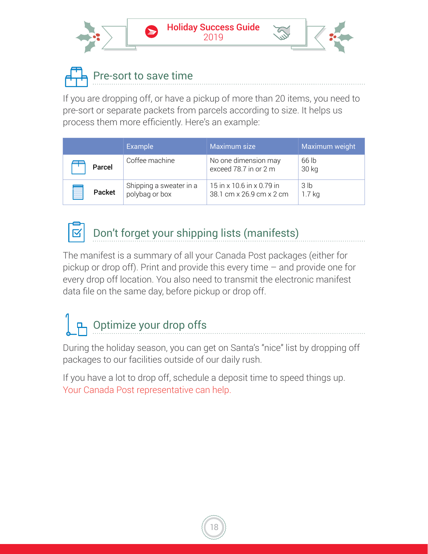

### Pre-sort to save time

If you are dropping off, or have a pickup of more than 20 items, you need to pre-sort or separate packets from parcels according to size. It helps us process them more efficiently. Here's an example:

|             | <b>Example</b>                            | Maximum size                                          | Maximum weight              |
|-------------|-------------------------------------------|-------------------------------------------------------|-----------------------------|
| Parcel      | Coffee machine                            | No one dimension may<br>exceed 78.7 in or 2 m         | 66 lb<br>30 kg              |
| I<br>Packet | Shipping a sweater in a<br>polybag or box | 15 in x 10.6 in x 0.79 in<br>38.1 cm x 26.9 cm x 2 cm | 3 <sub>lb</sub><br>$1.7$ kg |



#### Don't forget your shipping lists (manifests)

The manifest is a summary of all your Canada Post packages (either for pickup or drop off). Print and provide this every time – and provide one for every drop off location. You also need to transmit the electronic manifest data file on the same day, before pickup or drop off.

# P Optimize your drop offs

During the holiday season, you can get on Santa's "nice" list by dropping off packages to our facilities outside of our daily rush.

If you have a lot to drop off, schedule a deposit time to speed things up. Your Canada Post representative can help.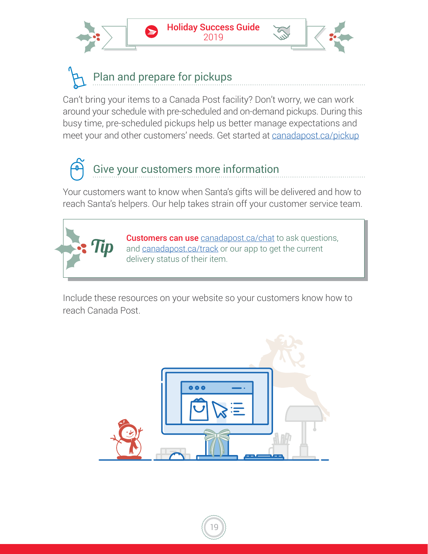



Can't bring your items to a Canada Post facility? Don't worry, we can work around your schedule with pre-scheduled and on-demand pickups. During this busy time, pre-scheduled pickups help us better manage expectations and meet your and other customers' needs. Get started a[t canadapost.ca/pickup](https://bit.ly/2Yf585x)

# Give your customers more information

Your customers want to know when Santa's gifts will be delivered and how to reach Santa's helpers. Our help takes strain off your customer service team.



**Customers can use** [canadapost.ca/chat](https://bit.ly/2NohmqJ) to ask questions, and [canadapost.ca/track](https://bit.ly/2Y3qAPv) or our app to get the current delivery status of their item.

Include these resources on your website so your customers know how to reach Canada Post.

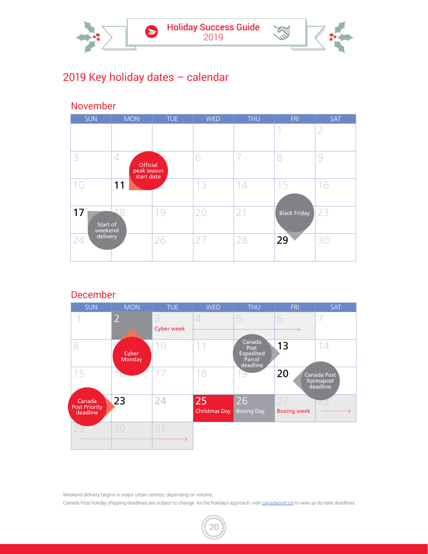

#### 2019 Key holiday dates – calendar

#### November

| <b>SUN</b>                | <b>MON</b>                                 | <b>TUE</b> | <b>WED</b> | <b>THU</b> | <b>FRI</b>      | <b>SAT</b> |
|---------------------------|--------------------------------------------|------------|------------|------------|-----------------|------------|
|                           |                                            |            |            |            | 4               |            |
| 3                         | 4<br>Official<br>peak season<br>start date |            | 6          |            | 8               | 9          |
| 10                        | 11                                         |            | 13         | 14         | 15              | 16         |
| 17<br>Start of<br>weekend | 4                                          | 19         | 20         | 21         | Black Friday 23 |            |
| delivery<br>24            |                                            | 26         | 27         | 28         | 29              | 30         |

December



Weekend delivery begins in major urban centres, depending on volume.

Canada Post holiday shipping deadlines are subject to change. As the holidays approach, visit [canadapost.ca](https://www.canadapost.ca) to view up-do-date deadlines.

20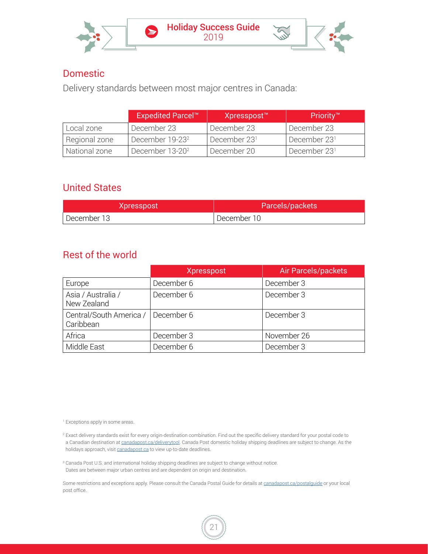

#### Domestic

Delivery standards between most major centres in Canada:

|               | <b>Expedited Parcel™</b>    | Xpresspost <sup>™</sup>  | Priority™                |
|---------------|-----------------------------|--------------------------|--------------------------|
| Local zone    | December 23                 | December 23              | December 23              |
| Regional zone | December 19-23 <sup>2</sup> | December 23 <sup>1</sup> | December 23 <sup>1</sup> |
| National zone | December 13-20 <sup>2</sup> | December 20              | December 23 <sup>1</sup> |

#### United States

| Xpresspost    | Parcels/packets |
|---------------|-----------------|
| l December 13 | December 10     |

#### Rest of the world

|                                      | <b>Xpresspost</b> | Air Parcels/packets |
|--------------------------------------|-------------------|---------------------|
| Europe                               | December 6        | December 3          |
| Asia / Australia /<br>New Zealand    | December 6        | December 3          |
| Central/South America /<br>Caribbean | December 6        | December 3          |
| Africa                               | December 3        | November 26         |
| Middle East                          | December 6        | December 3          |

1 Exceptions apply in some areas.

<sup>2</sup> Exact delivery standards exist for every origin-destination combination. Find out the specific delivery standard for your postal code to a Canadian destination at [canadapost.ca/deliverytool](http://canadapost.ca/deliverytool). Canada Post domestic holiday shipping deadlines are subject to change. As the holidays approach, visit [canadapost.ca](https://www.canadapost.ca) to view up-to-date deadlines.

<sup>3</sup> Canada Post U.S. and international holiday shipping deadlines are subject to change without notice. Dates are between major urban centres and are dependent on origin and destination.

Some restrictions and exceptions apply. Please consult the Canada Postal Guide for details a[t canadapost.ca/postalguide](http://www.canadapost.ca/postalguide) or your local post office.